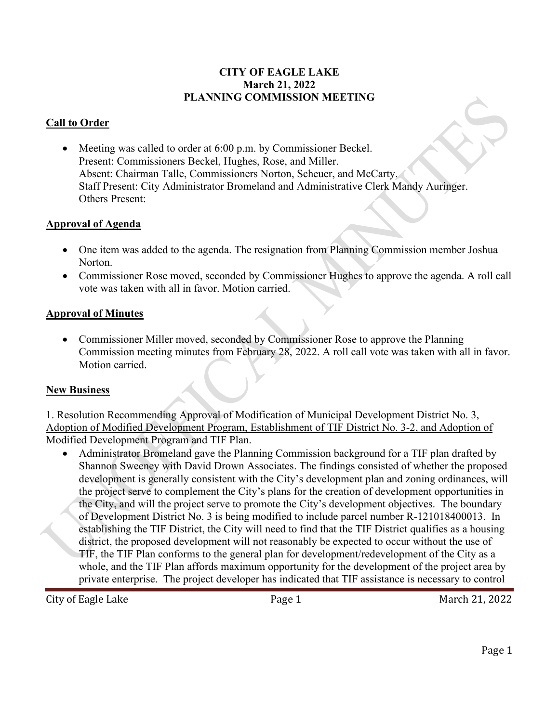### **CITY OF EAGLE LAKE March 21, 2022 PLANNING COMMISSION MEETING**

### **Call to Order**

• Meeting was called to order at 6:00 p.m. by Commissioner Beckel. Present: Commissioners Beckel, Hughes, Rose, and Miller. Absent: Chairman Talle, Commissioners Norton, Scheuer, and McCarty. Staff Present: City Administrator Bromeland and Administrative Clerk Mandy Auringer. Others Present:

### **Approval of Agenda**

- One item was added to the agenda. The resignation from Planning Commission member Joshua Norton.
- Commissioner Rose moved, seconded by Commissioner Hughes to approve the agenda. A roll call vote was taken with all in favor. Motion carried.

### **Approval of Minutes**

• Commissioner Miller moved, seconded by Commissioner Rose to approve the Planning Commission meeting minutes from February 28, 2022. A roll call vote was taken with all in favor. Motion carried.

### **New Business**

1. Resolution Recommending Approval of Modification of Municipal Development District No. 3, Adoption of Modified Development Program, Establishment of TIF District No. 3-2, and Adoption of Modified Development Program and TIF Plan.

• Administrator Bromeland gave the Planning Commission background for a TIF plan drafted by Shannon Sweeney with David Drown Associates. The findings consisted of whether the proposed development is generally consistent with the City's development plan and zoning ordinances, will the project serve to complement the City's plans for the creation of development opportunities in the City, and will the project serve to promote the City's development objectives. The boundary of Development District No. 3 is being modified to include parcel number R-121018400013. In establishing the TIF District, the City will need to find that the TIF District qualifies as a housing district, the proposed development will not reasonably be expected to occur without the use of TIF, the TIF Plan conforms to the general plan for development/redevelopment of the City as a whole, and the TIF Plan affords maximum opportunity for the development of the project area by private enterprise. The project developer has indicated that TIF assistance is necessary to control

City of Eagle Lake Page 1 March 21, 2022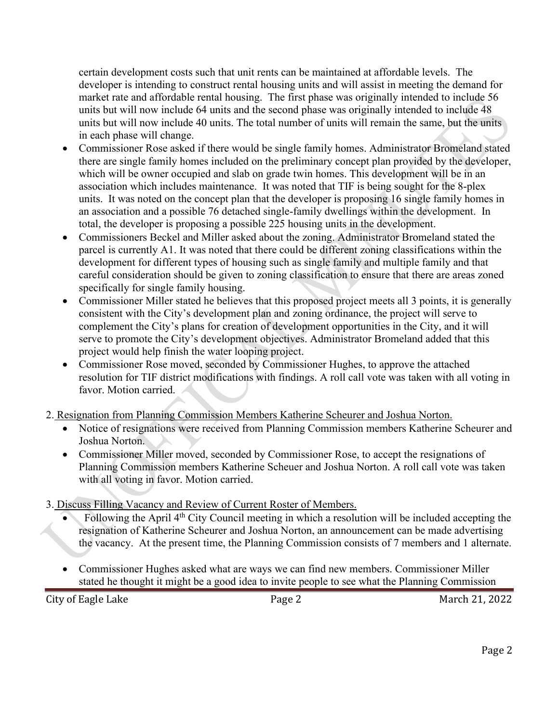certain development costs such that unit rents can be maintained at affordable levels. The developer is intending to construct rental housing units and will assist in meeting the demand for market rate and affordable rental housing. The first phase was originally intended to include 56 units but will now include 64 units and the second phase was originally intended to include 48 units but will now include 40 units. The total number of units will remain the same, but the units in each phase will change.

- Commissioner Rose asked if there would be single family homes. Administrator Bromeland stated there are single family homes included on the preliminary concept plan provided by the developer, which will be owner occupied and slab on grade twin homes. This development will be in an association which includes maintenance. It was noted that TIF is being sought for the 8-plex units. It was noted on the concept plan that the developer is proposing 16 single family homes in an association and a possible 76 detached single-family dwellings within the development. In total, the developer is proposing a possible 225 housing units in the development.
- Commissioners Beckel and Miller asked about the zoning. Administrator Bromeland stated the parcel is currently A1. It was noted that there could be different zoning classifications within the development for different types of housing such as single family and multiple family and that careful consideration should be given to zoning classification to ensure that there are areas zoned specifically for single family housing.
- Commissioner Miller stated he believes that this proposed project meets all 3 points, it is generally consistent with the City's development plan and zoning ordinance, the project will serve to complement the City's plans for creation of development opportunities in the City, and it will serve to promote the City's development objectives. Administrator Bromeland added that this project would help finish the water looping project.
- Commissioner Rose moved, seconded by Commissioner Hughes, to approve the attached resolution for TIF district modifications with findings. A roll call vote was taken with all voting in favor. Motion carried.
- 2. Resignation from Planning Commission Members Katherine Scheurer and Joshua Norton.
	- Notice of resignations were received from Planning Commission members Katherine Scheurer and Joshua Norton.
	- Commissioner Miller moved, seconded by Commissioner Rose, to accept the resignations of Planning Commission members Katherine Scheuer and Joshua Norton. A roll call vote was taken with all voting in favor. Motion carried.
- 3. Discuss Filling Vacancy and Review of Current Roster of Members.
	- Following the April 4<sup>th</sup> City Council meeting in which a resolution will be included accepting the resignation of Katherine Scheurer and Joshua Norton, an announcement can be made advertising the vacancy. At the present time, the Planning Commission consists of 7 members and 1 alternate.
	- Commissioner Hughes asked what are ways we can find new members. Commissioner Miller stated he thought it might be a good idea to invite people to see what the Planning Commission

City of Eagle Lake Page 2 March 21, 2022